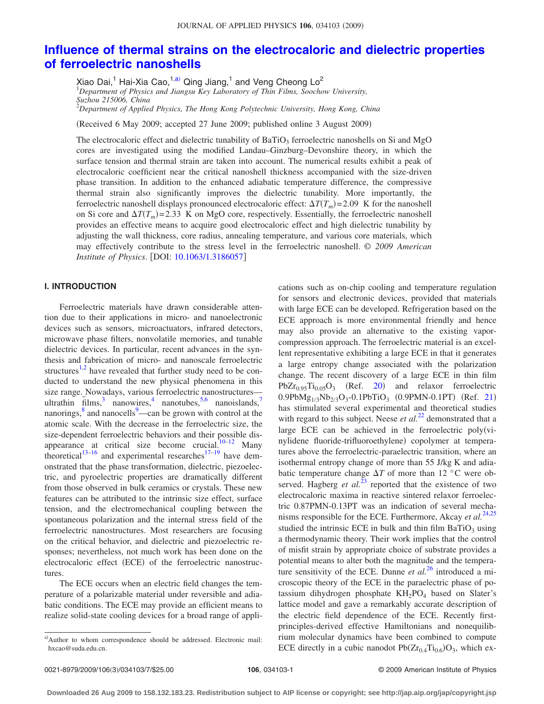# **[Influence of thermal strains on the electrocaloric and dielectric properties](http://dx.doi.org/10.1063/1.3186057) [of ferroelectric nanoshells](http://dx.doi.org/10.1063/1.3186057)**

Xiao Dai,<sup>1</sup> Hai-Xia Cao,<sup>1[,a](#page-0-0))</sup> Qing Jiang,<sup>1</sup> and Veng Cheong Lo<sup>2</sup><br><sup>1</sup> Department of Physics and Jiangsu Key Laboratory of Thin Films, Soochow University,

*Suzhou 215006, China*

2 *Department of Applied Physics, The Hong Kong Polytechnic University, Hong Kong, China*

(Received 6 May 2009; accepted 27 June 2009; published online 3 August 2009)

The electrocaloric effect and dielectric tunability of  $BaTiO<sub>3</sub>$  ferroelectric nanoshells on Si and MgO cores are investigated using the modified Landau–Ginzburg–Devonshire theory, in which the surface tension and thermal strain are taken into account. The numerical results exhibit a peak of electrocaloric coefficient near the critical nanoshell thickness accompanied with the size-driven phase transition. In addition to the enhanced adiabatic temperature difference, the compressive thermal strain also significantly improves the dielectric tunability. More importantly, the ferroelectric nanoshell displays pronounced electrocaloric effect:  $\Delta T(T_m) = 2.09$  K for the nanoshell on Si core and  $\Delta T(T_m)$  = 2.33 K on MgO core, respectively. Essentially, the ferroelectric nanoshell provides an effective means to acquire good electrocaloric effect and high dielectric tunability by adjusting the wall thickness, core radius, annealing temperature, and various core materials, which may effectively contribute to the stress level in the ferroelectric nanoshell. © *2009 American Institute of Physics.* [DOI: [10.1063/1.3186057](http://dx.doi.org/10.1063/1.3186057)]

# **I. INTRODUCTION**

Ferroelectric materials have drawn considerable attention due to their applications in micro- and nanoelectronic devices such as sensors, microactuators, infrared detectors, microwave phase filters, nonvolatile memories, and tunable dielectric devices. In particular, recent advances in the synthesis and fabrication of micro- and nanoscale ferroelectric structures<sup>1[,2](#page-6-1)</sup> have revealed that further study need to be conducted to understand the new physical phenomena in this size range. Nowadays, various ferroelectric nanostructures ultrathin  $\bar{f}$ lms,<sup>3</sup> nanowires,<sup>4</sup> nanotubes,<sup>5[,6](#page-6-5)</sup> nanoislands,<sup>7</sup> nanorings,<sup>8</sup> and nanocells<sup>9</sup>—can be grown with control at the atomic scale. With the decrease in the ferroelectric size, the size-dependent ferroelectric behaviors and their possible dis-appearance at critical size become crucial.<sup>10–[12](#page-6-10)</sup> Many theoretical<sup>13–[16](#page-6-12)</sup> and experimental researches<sup>17[–19](#page-6-14)</sup> have demonstrated that the phase transformation, dielectric, piezoelectric, and pyroelectric properties are dramatically different from those observed in bulk ceramics or crystals. These new features can be attributed to the intrinsic size effect, surface tension, and the electromechanical coupling between the spontaneous polarization and the internal stress field of the ferroelectric nanostructures. Most researchers are focusing on the critical behavior, and dielectric and piezoelectric responses; nevertheless, not much work has been done on the electrocaloric effect (ECE) of the ferroelectric nanostructures.

The ECE occurs when an electric field changes the temperature of a polarizable material under reversible and adiabatic conditions. The ECE may provide an efficient means to realize solid-state cooling devices for a broad range of applications such as on-chip cooling and temperature regulation for sensors and electronic devices, provided that materials with large ECE can be developed. Refrigeration based on the ECE approach is more environmental friendly and hence may also provide an alternative to the existing vaporcompression approach. The ferroelectric material is an excellent representative exhibiting a large ECE in that it generates a large entropy change associated with the polarization change. The recent discovery of a large ECE in thin film  $PbZr_{0.95}Ti_{0.05}O_3$  (Ref. [20](#page-6-15)) and relaxor ferroelectric  $0.9PbMg_{1/3}Nb_{2/3}O_3-0.1PbTiO_3$  (0.9PMN-0.1PT) (Ref. [21](#page-6-16)) has stimulated several experimental and theoretical studies with regard to this subject. Neese *et al.*<sup>[22](#page-6-17)</sup> demonstrated that a large ECE can be achieved in the ferroelectric poly $(vi-)$ nylidene fluoride-trifluoroethylene) copolymer at temperatures above the ferroelectric-paraelectric transition, where an isothermal entropy change of more than 55 J/kg K and adiabatic temperature change  $\Delta T$  of more than 12 °C were observed. Hagberg *et al.*<sup>[23](#page-6-18)</sup> reported that the existence of two electrocaloric maxima in reactive sintered relaxor ferroelectric 0.87PMN-0.13PT was an indication of several mechanisms responsible for the ECE. Furthermore, Akcay *et al.*[24](#page-6-19)[,25](#page-6-20) studied the intrinsic ECE in bulk and thin film BaTiO<sub>3</sub> using a thermodynamic theory. Their work implies that the control of misfit strain by appropriate choice of substrate provides a potential means to alter both the magnitude and the temperature sensitivity of the ECE. Dunne *et al.*<sup>[26](#page-6-21)</sup> introduced a microscopic theory of the ECE in the paraelectric phase of potassium dihydrogen phosphate  $KH_2PO_4$  based on Slater's lattice model and gave a remarkably accurate description of the electric field dependence of the ECE. Recently firstprinciples-derived effective Hamiltonians and nonequilibrium molecular dynamics have been combined to compute ECE directly in a cubic nanodot  $Pb(Zr_{0.4}Ti_{0.6})O_3$ , which ex-

<span id="page-0-0"></span>a)Author to whom correspondence should be addressed. Electronic mail: hxcao@suda.edu.cn.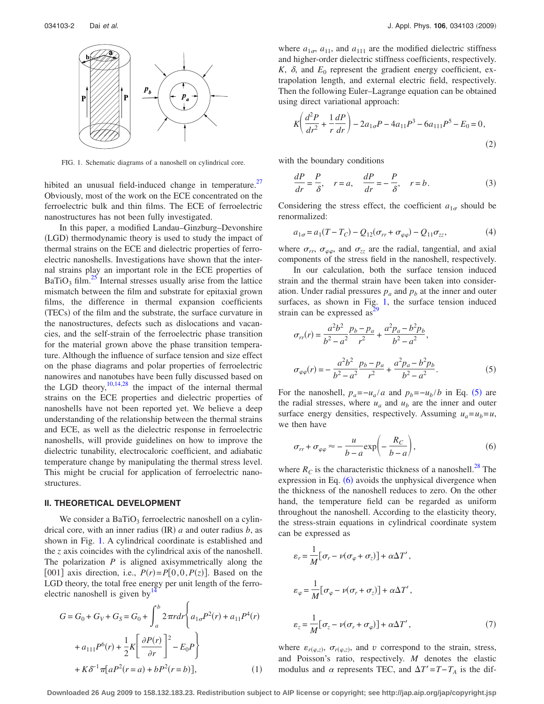<span id="page-1-0"></span>

FIG. 1. Schematic diagrams of a nanoshell on cylindrical core.

hibited an unusual field-induced change in temperature.<sup>27</sup> Obviously, most of the work on the ECE concentrated on the ferroelectric bulk and thin films. The ECE of ferroelectric nanostructures has not been fully investigated.

In this paper, a modified Landau–Ginzburg–Devonshire (LGD) thermodynamic theory is used to study the impact of thermal strains on the ECE and dielectric properties of ferroelectric nanoshells. Investigations have shown that the internal strains play an important role in the ECE properties of  $BaTiO<sub>3</sub> film.<sup>25</sup> Internal stresses usually arise from the lattice$ mismatch between the film and substrate for epitaxial grown films, the difference in thermal expansion coefficients (TECs) of the film and the substrate, the surface curvature in the nanostructures, defects such as dislocations and vacancies, and the self-strain of the ferroelectric phase transition for the material grown above the phase transition temperature. Although the influence of surface tension and size effect on the phase diagrams and polar properties of ferroelectric nanowires and nanotubes have been fully discussed based on the LGD theory,  $10,14,28$  $10,14,28$  $10,14,28$  the impact of the internal thermal strains on the ECE properties and dielectric properties of nanoshells have not been reported yet. We believe a deep understanding of the relationship between the thermal strains and ECE, as well as the dielectric response in ferroelectric nanoshells, will provide guidelines on how to improve the dielectric tunability, electrocaloric coefficient, and adiabatic temperature change by manipulating the thermal stress level. This might be crucial for application of ferroelectric nanostructures.

## **II. THEORETICAL DEVELOPMENT**

We consider a  $BaTiO<sub>3</sub>$  ferroelectric nanoshell on a cylindrical core, with an inner radius  $(IR)$  *a* and outer radius *b*, as shown in Fig. [1.](#page-1-0) A cylindrical coordinate is established and the *z* axis coincides with the cylindrical axis of the nanoshell. The polarization *P* is aligned axisymmetrically along the [001] axis direction, i.e.,  $P(r) = P[0, 0, P(z)]$ . Based on the LGD theory, the total free energy per unit length of the ferroelectric nanoshell is given by  $14$ 

$$
G = G_0 + G_V + G_S = G_0 + \int_a^b 2\pi r dr \left\{ a_{1\sigma} P^2(r) + a_{11} P^4(r) + a_{111} P^6(r) + \frac{1}{2} K \left[ \frac{\partial P(r)}{\partial r} \right]^2 - E_0 P \right\} + K \delta^{-1} \pi [a P^2(r = a) + b P^2(r = b)], \tag{1}
$$

where  $a_{1\sigma}$ ,  $a_{11}$ , and  $a_{111}$  are the modified dielectric stiffness and higher-order dielectric stiffness coefficients, respectively.  $K$ ,  $\delta$ , and  $E_0$  represent the gradient energy coefficient, extrapolation length, and external electric field, respectively. Then the following Euler–Lagrange equation can be obtained using direct variational approach:

<span id="page-1-5"></span>
$$
K\left(\frac{d^2P}{dr^2} + \frac{1}{r}\frac{dP}{dr}\right) - 2a_{1\sigma}P - 4a_{11}P^3 - 6a_{111}P^5 - E_0 = 0,
$$
\n(2)

with the boundary conditions

$$
\frac{dP}{dr} = \frac{P}{\delta}, \quad r = a, \quad \frac{dP}{dr} = -\frac{P}{\delta}, \quad r = b.
$$
 (3)

Considering the stress effect, the coefficient  $a_{1\sigma}$  should be renormalized:

<span id="page-1-4"></span>
$$
a_{1\sigma} = a_1(T - T_C) - Q_{12}(\sigma_{rr} + \sigma_{\varphi\varphi}) - Q_{11}\sigma_{zz},
$$
 (4)

where  $\sigma_{rr}$ ,  $\sigma_{\varphi\varphi}$ , and  $\sigma_{zz}$  are the radial, tangential, and axial components of the stress field in the nanoshell, respectively.

In our calculation, both the surface tension induced strain and the thermal strain have been taken into consideration. Under radial pressures  $p_a$  and  $p_b$  at the inner and outer surfaces, as shown in Fig. [1,](#page-1-0) the surface tension induced strain can be expressed as $^{29}$ 

<span id="page-1-1"></span>
$$
\sigma_{rr}(r) = \frac{a^2b^2}{b^2 - a^2} \frac{p_b - p_a}{r^2} + \frac{a^2p_a - b^2p_b}{b^2 - a^2},
$$
  

$$
\sigma_{\varphi\varphi}(r) = -\frac{a^2b^2}{b^2 - a^2} \frac{p_b - p_a}{r^2} + \frac{a^2p_a - b^2p_b}{b^2 - a^2}.
$$
 (5)

For the nanoshell,  $p_a = -\frac{u_a}{a}$  and  $p_b = -\frac{u_b}{b}$  in Eq. ([5](#page-1-1)) are the radial stresses, where  $u_a$  and  $u_b$  are the inner and outer surface energy densities, respectively. Assuming  $u_a = u_b = u$ , we then have

<span id="page-1-2"></span>
$$
\sigma_{rr} + \sigma_{\varphi\varphi} \approx -\frac{u}{b-a} \exp\left(-\frac{R_C}{b-a}\right),\tag{6}
$$

where  $R_C$  is the characteristic thickness of a nanoshell.<sup>28</sup> The expression in Eq.  $(6)$  $(6)$  $(6)$  avoids the unphysical divergence when the thickness of the nanoshell reduces to zero. On the other hand, the temperature field can be regarded as uniform throughout the nanoshell. According to the elasticity theory, the stress-strain equations in cylindrical coordinate system can be expressed as

<span id="page-1-3"></span>
$$
\varepsilon_r = \frac{1}{M} [\sigma_r - \nu(\sigma_\varphi + \sigma_z)] + \alpha \Delta T',
$$
  
\n
$$
\varepsilon_\varphi = \frac{1}{M} [\sigma_\varphi - \nu(\sigma_r + \sigma_z)] + \alpha \Delta T',
$$
  
\n
$$
\varepsilon_z = \frac{1}{M} [\sigma_z - \nu(\sigma_r + \sigma_\varphi)] + \alpha \Delta T',
$$
\n(7)

where  $\varepsilon_{r(\varphi,z)}$ ,  $\sigma_{r(\varphi,z)}$ , and *v* correspond to the strain, stress, and Poisson's ratio, respectively. *M* denotes the elastic modulus and  $\alpha$  represents TEC, and  $\Delta T' = T - T_A$  is the dif-

**Downloaded 26 Aug 2009 to 158.132.183.23. Redistribution subject to AIP license or copyright; see http://jap.aip.org/jap/copyright.jsp**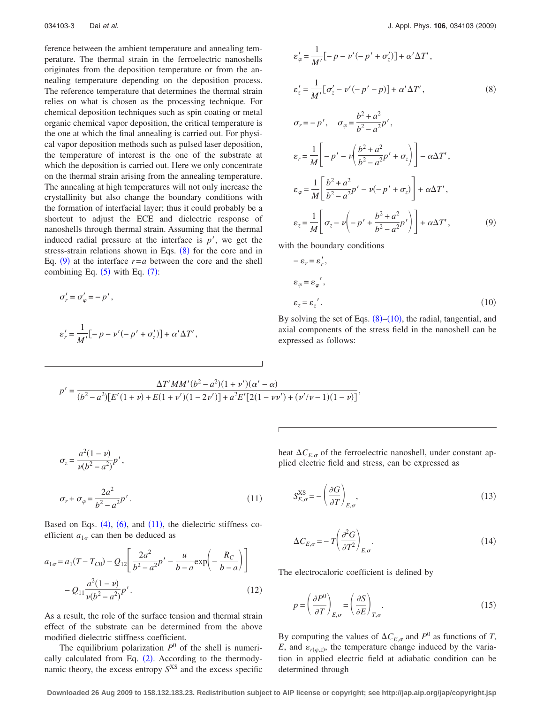ference between the ambient temperature and annealing temperature. The thermal strain in the ferroelectric nanoshells originates from the deposition temperature or from the annealing temperature depending on the deposition process. The reference temperature that determines the thermal strain relies on what is chosen as the processing technique. For chemical deposition techniques such as spin coating or metal organic chemical vapor deposition, the critical temperature is the one at which the final annealing is carried out. For physical vapor deposition methods such as pulsed laser deposition, the temperature of interest is the one of the substrate at which the deposition is carried out. Here we only concentrate on the thermal strain arising from the annealing temperature. The annealing at high temperatures will not only increase the crystallinity but also change the boundary conditions with the formation of interfacial layer; thus it could probably be a shortcut to adjust the ECE and dielectric response of nanoshells through thermal strain. Assuming that the thermal induced radial pressure at the interface is  $p'$ , we get the stress-strain relations shown in Eqs.  $(8)$  $(8)$  $(8)$  for the core and in Eq.  $(9)$  $(9)$  $(9)$  at the interface  $r=a$  between the core and the shell combining Eq.  $(5)$  $(5)$  $(5)$  with Eq.  $(7)$  $(7)$  $(7)$ :

<span id="page-2-0"></span>
$$
\sigma'_r = \sigma'_\varphi = -p',
$$
  

$$
\varepsilon'_r = \frac{1}{M'}[-p - \nu'(-p' + \sigma'_z)] + \alpha' \Delta T',
$$

<span id="page-2-1"></span>
$$
\varepsilon_{\varphi}' = \frac{1}{M'} [-p - \nu'(-p' + \sigma_z')] + \alpha' \Delta T',
$$
  
\n
$$
\varepsilon_z' = \frac{1}{M'} [\sigma_z' - \nu'(-p' - p)] + \alpha' \Delta T',
$$
  
\n
$$
\sigma_r = -p', \quad \sigma_{\varphi} = \frac{b^2 + a^2}{b^2 - a^2} p',
$$
  
\n
$$
\varepsilon_r = \frac{1}{M} \left[ -p' - \nu \left( \frac{b^2 + a^2}{b^2 - a^2} p' + \sigma_z \right) \right] - \alpha \Delta T',
$$
  
\n
$$
\varepsilon_{\varphi} = \frac{1}{M} \left[ \frac{b^2 + a^2}{b^2 - a^2} p' - \nu(-p' + \sigma_z) \right] + \alpha \Delta T',
$$

$$
\varepsilon_z = \frac{1}{M} \left[ \sigma_z - \nu \left( -p' + \frac{b^2 + a^2}{b^2 - a^2} p' \right) \right] + \alpha \Delta T', \tag{9}
$$

<span id="page-2-2"></span>with the boundary conditions

$$
-\varepsilon_r = \varepsilon'_r,
$$
  
\n
$$
\varepsilon_{\varphi} = \varepsilon_{\varphi'}',
$$
  
\n
$$
\varepsilon_z = \varepsilon_z'.
$$
 (10)

By solving the set of Eqs.  $(8)$  $(8)$  $(8)$ – $(10)$  $(10)$  $(10)$ , the radial, tangential, and axial components of the stress field in the nanoshell can be expressed as follows:

<span id="page-2-3"></span>
$$
p' = \frac{\Delta T'MM'(b^2 - a^2)(1 + \nu')(\alpha' - \alpha)}{(b^2 - a^2)[E'(1 + \nu) + E(1 + \nu')(1 - 2\nu')] + a^2E'[2(1 - \nu\nu') + (\nu'/\nu - 1)(1 - \nu)]},
$$

$$
\sigma_z = \frac{a^2(1-\nu)}{\nu(b^2 - a^2)} p',
$$
  

$$
\sigma_r + \sigma_\varphi = \frac{2a^2}{b^2 - a^2} p'.
$$
 (11)

Based on Eqs.  $(4)$  $(4)$  $(4)$ ,  $(6)$  $(6)$  $(6)$ , and  $(11)$  $(11)$  $(11)$ , the dielectric stiffness coefficient  $a_{1\sigma}$  can then be deduced as

<span id="page-2-5"></span>
$$
a_{1\sigma} = a_1(T - T_{C0}) - Q_{12} \left[ \frac{2a^2}{b^2 - a^2} p' - \frac{u}{b - a} \exp\left(-\frac{R_C}{b - a}\right) \right]
$$

$$
-Q_{11} \frac{a^2(1 - v)}{v(b^2 - a^2)} p'.
$$
(12)

As a result, the role of the surface tension and thermal strain effect of the substrate can be determined from the above modified dielectric stiffness coefficient.

The equilibrium polarization  $P^0$  of the shell is numeri-cally calculated from Eq. ([2](#page-1-5)). According to the thermodynamic theory, the excess entropy *S*XS and the excess specific heat  $\Delta C_{E,\sigma}$  of the ferroelectric nanoshell, under constant applied electric field and stress, can be expressed as

$$
S_{E,\sigma}^{\text{XS}} = -\left(\frac{\partial G}{\partial T}\right)_{E,\sigma},\tag{13}
$$

<span id="page-2-4"></span>
$$
\Delta C_{E,\sigma} = -T \left( \frac{\partial^2 G}{\partial T^2} \right)_{E,\sigma}.
$$
\n(14)

The electrocaloric coefficient is defined by

$$
p = \left(\frac{\partial P^0}{\partial T}\right)_{E,\sigma} = \left(\frac{\partial S}{\partial E}\right)_{T,\sigma}.
$$
\n(15)

By computing the values of  $\Delta C_{E,\sigma}$  and  $P^0$  as functions of *T*, *E*, and  $\varepsilon_{r(\varphi,z)}$ , the temperature change induced by the variation in applied electric field at adiabatic condition can be determined through

**Downloaded 26 Aug 2009 to 158.132.183.23. Redistribution subject to AIP license or copyright; see http://jap.aip.org/jap/copyright.jsp**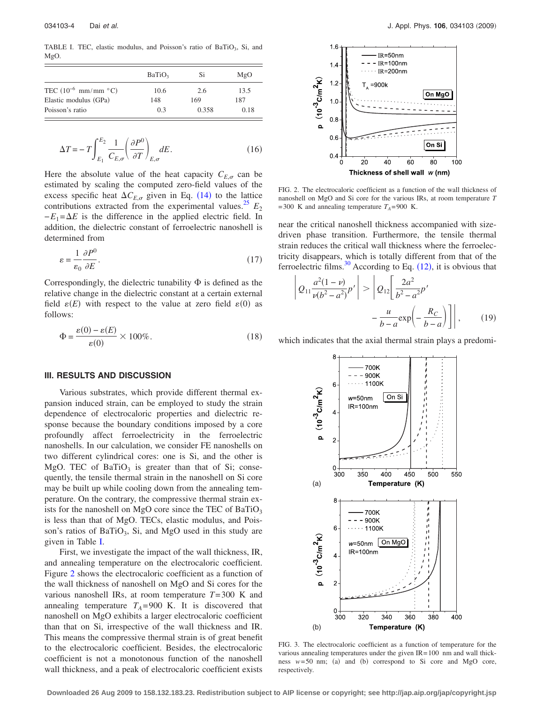<span id="page-3-0"></span>TABLE I. TEC, elastic modulus, and Poisson's ratio of BaTiO<sub>3</sub>, Si, and MgO.

|                                   | Bario <sub>3</sub> | Si    | MgO  |
|-----------------------------------|--------------------|-------|------|
| TEC $(10^{-6}$ mm/mm $\degree$ C) | 10.6               | 2.6   | 13.5 |
| Elastic modulus (GPa)             | 148                | 169   | 187  |
| Poisson's ratio                   | 0.3                | 0.358 | 0.18 |

$$
\Delta T = -T \int_{E_1}^{E_2} \frac{1}{C_{E,\sigma}} \left( \frac{\partial P^0}{\partial T} \right)_{E,\sigma} dE.
$$
 (16)

Here the absolute value of the heat capacity  $C_{E,\sigma}$  can be estimated by scaling the computed zero-field values of the excess specific heat  $\Delta C_{E,\sigma}$  given in Eq. ([14](#page-2-4)) to the lattice contributions extracted from the experimental values.<sup>25</sup>  $E_2$  $-E_1 = \Delta E$  is the difference in the applied electric field. In addition, the dielectric constant of ferroelectric nanoshell is determined from

<span id="page-3-3"></span>
$$
\varepsilon = \frac{1}{\varepsilon_0} \frac{\partial P^0}{\partial E}.
$$
\n(17)

Correspondingly, the dielectric tunability  $\Phi$  is defined as the relative change in the dielectric constant at a certain external field  $\varepsilon(E)$  with respect to the value at zero field  $\varepsilon(0)$  as follows:

<span id="page-3-4"></span>
$$
\Phi = \frac{\varepsilon(0) - \varepsilon(E)}{\varepsilon(0)} \times 100\% . \tag{18}
$$

### **III. RESULTS AND DISCUSSION**

Various substrates, which provide different thermal expansion induced strain, can be employed to study the strain dependence of electrocaloric properties and dielectric response because the boundary conditions imposed by a core profoundly affect ferroelectricity in the ferroelectric nanoshells. In our calculation, we consider FE nanoshells on two different cylindrical cores: one is Si, and the other is MgO. TEC of  $BaTiO<sub>3</sub>$  is greater than that of Si; consequently, the tensile thermal strain in the nanoshell on Si core may be built up while cooling down from the annealing temperature. On the contrary, the compressive thermal strain exists for the nanoshell on MgO core since the TEC of  $BaTiO<sub>3</sub>$ is less than that of MgO. TECs, elastic modulus, and Poisson's ratios of BaTiO<sub>3</sub>, Si, and MgO used in this study are given in Table [I.](#page-3-0)

First, we investigate the impact of the wall thickness, IR, and annealing temperature on the electrocaloric coefficient. Figure [2](#page-3-1) shows the electrocaloric coefficient as a function of the wall thickness of nanoshell on MgO and Si cores for the various nanoshell IRs, at room temperature *T*= 300 K and annealing temperature  $T_A = 900$  K. It is discovered that nanoshell on MgO exhibits a larger electrocaloric coefficient than that on Si, irrespective of the wall thickness and IR. This means the compressive thermal strain is of great benefit to the electrocaloric coefficient. Besides, the electrocaloric coefficient is not a monotonous function of the nanoshell wall thickness, and a peak of electrocaloric coefficient exists

<span id="page-3-1"></span>

FIG. 2. The electrocaloric coefficient as a function of the wall thickness of nanoshell on MgO and Si core for the various IRs, at room temperature *T*  $= 300$  K and annealing temperature  $T_A = 900$  K.

near the critical nanoshell thickness accompanied with sizedriven phase transition. Furthermore, the tensile thermal strain reduces the critical wall thickness where the ferroelectricity disappears, which is totally different from that of the ferroelectric films.<sup>30</sup> According to Eq.  $(12)$  $(12)$  $(12)$ , it is obvious that

$$
\left| Q_{11} \frac{a^2 (1 - v)}{\nu (b^2 - a^2)} p' \right| > \left| Q_{12} \left[ \frac{2a^2}{b^2 - a^2} p' \right] - \frac{u}{b - a} \exp\left( -\frac{R_C}{b - a} \right) \right|,
$$
 (19)

<span id="page-3-2"></span>which indicates that the axial thermal strain plays a predomi-



FIG. 3. The electrocaloric coefficient as a function of temperature for the various annealing temperatures under the given IR= 100 nm and wall thickness  $w=50$  nm; (a) and (b) correspond to Si core and MgO core, respectively.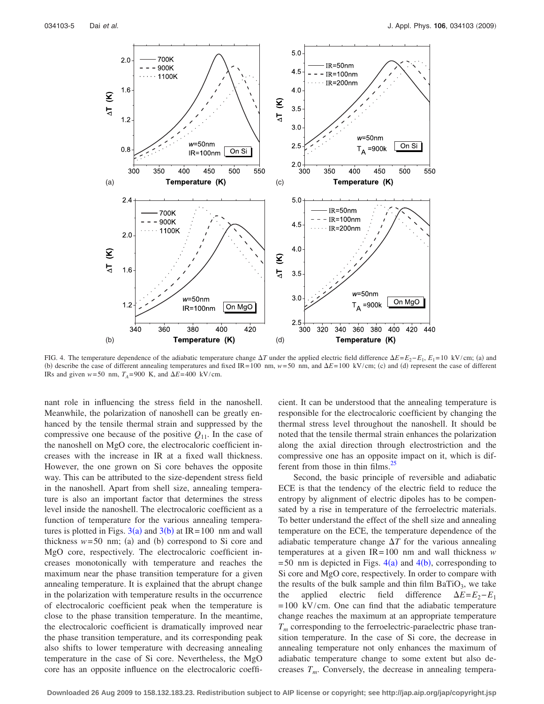<span id="page-4-0"></span>

FIG. 4. The temperature dependence of the adiabatic temperature change  $\Delta T$  under the applied electric field difference  $\Delta E=E_2-E_1$ ,  $E_1=10 \text{ kV/cm}$ ; (a) and (b) describe the case of different annealing temperatures and fixed IR=100 nm,  $w=50$  nm, and  $\Delta E=100$  kV/cm; (c) and (d) represent the case of different IRs and given  $w=50$  nm,  $T_A=900$  K, and  $\Delta E=400$  kV/cm.

nant role in influencing the stress field in the nanoshell. Meanwhile, the polarization of nanoshell can be greatly enhanced by the tensile thermal strain and suppressed by the compressive one because of the positive  $Q_{11}$ . In the case of the nanoshell on MgO core, the electrocaloric coefficient increases with the increase in IR at a fixed wall thickness. However, the one grown on Si core behaves the opposite way. This can be attributed to the size-dependent stress field in the nanoshell. Apart from shell size, annealing temperature is also an important factor that determines the stress level inside the nanoshell. The electrocaloric coefficient as a function of temperature for the various annealing temperatures is plotted in Figs.  $3(a)$  $3(a)$  and  $3(b)$  at IR=100 nm and wall thickness  $w = 50$  nm; (a) and (b) correspond to Si core and MgO core, respectively. The electrocaloric coefficient increases monotonically with temperature and reaches the maximum near the phase transition temperature for a given annealing temperature. It is explained that the abrupt change in the polarization with temperature results in the occurrence of electrocaloric coefficient peak when the temperature is close to the phase transition temperature. In the meantime, the electrocaloric coefficient is dramatically improved near the phase transition temperature, and its corresponding peak also shifts to lower temperature with decreasing annealing temperature in the case of Si core. Nevertheless, the MgO core has an opposite influence on the electrocaloric coefficient. It can be understood that the annealing temperature is responsible for the electrocaloric coefficient by changing the thermal stress level throughout the nanoshell. It should be noted that the tensile thermal strain enhances the polarization along the axial direction through electrostriction and the compressive one has an opposite impact on it, which is different from those in thin films.<sup>25</sup>

Second, the basic principle of reversible and adiabatic ECE is that the tendency of the electric field to reduce the entropy by alignment of electric dipoles has to be compensated by a rise in temperature of the ferroelectric materials. To better understand the effect of the shell size and annealing temperature on the ECE, the temperature dependence of the adiabatic temperature change  $\Delta T$  for the various annealing temperatures at a given IR= 100 nm and wall thickness *w*  $= 50$  nm is depicted in Figs.  $4(a)$  $4(a)$  and  $4(b)$ , corresponding to Si core and MgO core, respectively. In order to compare with the results of the bulk sample and thin film  $BaTiO<sub>3</sub>$ , we take the applied electric field difference  $\Delta E=E_2-E_1$  $= 100$  kV/cm. One can find that the adiabatic temperature change reaches the maximum at an appropriate temperature  $T_m$  corresponding to the ferroelectric-paraelectric phase transition temperature. In the case of Si core, the decrease in annealing temperature not only enhances the maximum of adiabatic temperature change to some extent but also decreases  $T_m$ . Conversely, the decrease in annealing tempera-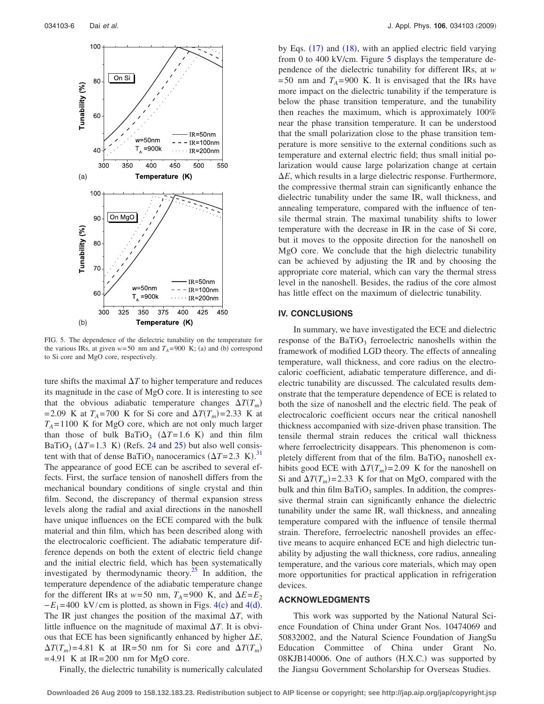<span id="page-5-0"></span>

FIG. 5. The dependence of the dielectric tunability on the temperature for the various IRs, at given  $w = 50$  nm and  $T_A = 900$  K; (a) and (b) correspond to Si core and MgO core, respectively.

ture shifts the maximal  $\Delta T$  to higher temperature and reduces its magnitude in the case of MgO core. It is interesting to see that the obvious adiabatic temperature changes  $\Delta T(T_m)$ = 2.09 K at  $T_A$  = 700 K for Si core and  $\Delta T(T_m)$  = 2.33 K at  $T_A = 1100$  K for MgO core, which are not only much larger than those of bulk  $BaTiO<sub>3</sub>$  ( $\Delta T=1.6$  K) and thin film BaTiO<sub>3</sub> ( $\Delta T$ =1.3 K) (Refs. [24](#page-6-19) and [25](#page-6-20)) but also well consistent with that of dense BaTiO<sub>3</sub> nanoceramics  $(\Delta T = 2.3 \text{ K})^{31}$  $(\Delta T = 2.3 \text{ K})^{31}$  $(\Delta T = 2.3 \text{ K})^{31}$ The appearance of good ECE can be ascribed to several effects. First, the surface tension of nanoshell differs from the mechanical boundary conditions of single crystal and thin film. Second, the discrepancy of thermal expansion stress levels along the radial and axial directions in the nanoshell have unique influences on the ECE compared with the bulk material and thin film, which has been described along with the electrocaloric coefficient. The adiabatic temperature difference depends on both the extent of electric field change and the initial electric field, which has been systematically investigated by thermodynamic theory.<sup>25</sup> In addition, the temperature dependence of the adiabatic temperature change for the different IRs at  $w=50$  nm,  $T_A=900$  K, and  $\Delta E=E_2$  $-E_1 = 400 \text{ kV/cm}$  $-E_1 = 400 \text{ kV/cm}$  $-E_1 = 400 \text{ kV/cm}$  is plotted, as shown in Figs. 4(c) and 4(d). The IR just changes the position of the maximal  $\Delta T$ , with little influence on the magnitude of maximal  $\Delta T$ . It is obvious that ECE has been significantly enhanced by higher  $\Delta E$ ,  $\Delta T(T_m) = 4.81$  K at IR=50 nm for Si core and  $\Delta T(T_m)$  $= 4.91$  K at IR $= 200$  nm for MgO core.

Finally, the dielectric tunability is numerically calculated

by Eqs. ([17](#page-3-3)) and ([18](#page-3-4)), with an applied electric field varying from 0 to 400 kV/cm. Figure [5](#page-5-0) displays the temperature dependence of the dielectric tunability for different IRs, at *w*  $= 50$  nm and  $T_A = 900$  K. It is envisaged that the IRs have more impact on the dielectric tunability if the temperature is below the phase transition temperature, and the tunability then reaches the maximum, which is approximately 100% near the phase transition temperature. It can be understood that the small polarization close to the phase transition temperature is more sensitive to the external conditions such as temperature and external electric field; thus small initial polarization would cause large polarization change at certain  $\Delta E$ , which results in a large dielectric response. Furthermore, the compressive thermal strain can significantly enhance the dielectric tunability under the same IR, wall thickness, and annealing temperature, compared with the influence of tensile thermal strain. The maximal tunability shifts to lower temperature with the decrease in IR in the case of Si core, but it moves to the opposite direction for the nanoshell on MgO core. We conclude that the high dielectric tunability can be achieved by adjusting the IR and by choosing the appropriate core material, which can vary the thermal stress level in the nanoshell. Besides, the radius of the core almost has little effect on the maximum of dielectric tunability.

#### **IV. CONCLUSIONS**

In summary, we have investigated the ECE and dielectric response of the BaTiO<sub>3</sub> ferroelectric nanoshells within the framework of modified LGD theory. The effects of annealing temperature, wall thickness, and core radius on the electrocaloric coefficient, adiabatic temperature difference, and dielectric tunability are discussed. The calculated results demonstrate that the temperature dependence of ECE is related to both the size of nanoshell and the electric field. The peak of electrocaloric coefficient occurs near the critical nanoshell thickness accompanied with size-driven phase transition. The tensile thermal strain reduces the critical wall thickness where ferroelectricity disappears. This phenomenon is completely different from that of the film. BaTiO<sub>3</sub> nanoshell exhibits good ECE with  $\Delta T(T_m) = 2.09$  K for the nanoshell on Si and  $\Delta T(T_m)$  = 2.33 K for that on MgO, compared with the bulk and thin film  $BaTiO<sub>3</sub>$  samples. In addition, the compressive thermal strain can significantly enhance the dielectric tunability under the same IR, wall thickness, and annealing temperature compared with the influence of tensile thermal strain. Therefore, ferroelectric nanoshell provides an effective means to acquire enhanced ECE and high dielectric tunability by adjusting the wall thickness, core radius, annealing temperature, and the various core materials, which may open more opportunities for practical application in refrigeration devices.

#### **ACKNOWLEDGMENTS**

This work was supported by the National Natural Science Foundation of China under Grant Nos. 10474069 and 50832002, and the Natural Science Foundation of JiangSu Education Committee of China under Grant No. 08KJB140006. One of authors (H.X.C.) was supported by the Jiangsu Government Scholarship for Overseas Studies.